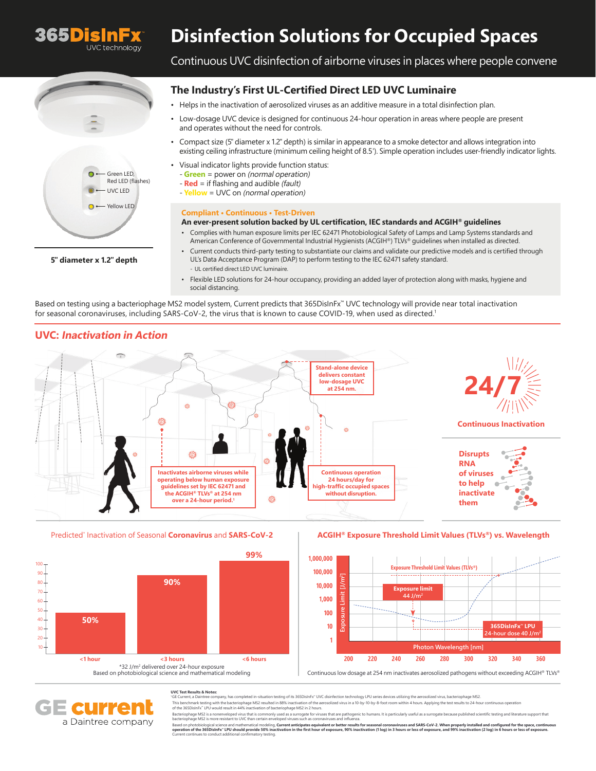

# **Disinfection Solutions for Occupied Spaces**



**5"diameter x 1.2"depth**

# Continuous UVC disinfection of airborne viruses in places where people convene

## **The Industry's First UL-Certified Direct LED UVC Luminaire**

- Helps in the inactivation of aerosolized viruses as an additive measure in a total disinfection plan.
- Low-dosage UVC device is designed for continuous 24-hour operation in areas where people are present and operates without the need for controls.
- Compact size (5"diameter x 1.2"depth) is similar in appearance to a smoke detector and allows integration into existing ceiling infrastructure (minimum ceiling height of 8.5'). Simple operation includes user-friendly indicator lights.
- Visual indicator lights provide function status:
	- Green = power on (normal operation)
- **Red** = if flashing and audible (fault)
- **Yellow** = UVC on (normal operation)

### **Compliant • Continuous • Test-Driven**

#### **An ever-present solution backed by UL certification, IEC standards and ACGIH® guidelines**

- Complies with human exposure limits per IEC 62471 Photobiological Safety of Lamps and Lamp Systems standards and American Conference of Governmental Industrial Hygienists (ACGIH®) TLVs® guidelines when installed as directed.
- Current conducts third-party testing to substantiate our claims and validate our predictive models and is certified through UL's Data Acceptance Program (DAP) to perform testing to the IEC 62471 safety standard. - UL certified direct LED UVC luminaire.
- Flexible LED solutions for 24-hour occupancy, providing an added layer of protection along with masks, hygiene and social distancing.

Based on testing using a bacteriophage MS2 model system, Current predicts that 365DisInFx™ UVC technology will provide near total inactivation for seasonal coronaviruses, including SARS-CoV-2, the virus that is known to cause COVID-19, when used as directed.<sup>1</sup>

## **UVC: Inactivation in Action**







# Based on photobiological science and mathematical modeling

### **ACGIH® Exposure Threshold Limit Values (TLVs®) vs. Wavelength**



Continuous low dosage at 254 nm inactivates aerosolized pathogens without exceeding ACGIH® TLVs®

#### **UVC Test Results & Notes:**

GE Current, a Daintree company, has completed in-situation testing of its 365DisInFx™ UVC disinfection technology LPU series devices utilizing the ae

This benchmark testing with the bacteriophage MS2 resulted in 88% inactivation of the aerosolized virus in a 10-by-10-by-8-foot room within 4 hours. Applying the test results to 24-hour continuous operation<br>of the 365DisIn

**QUIZZE** a Daintree company

Bacteriophage MS2 is nonenveloped virus that commonly used as aurrogate for viruses that are pathogenic to humans. It is particularly useful as a surrogate because published scientific testing and literature support that<br>b

Based on photobiological science and mathematical modeling. Current anticipates equivalent or better results for seasonal coronaviruses and SARS-CoV-2. When properly installed and configured for the space, continuous<br>opera